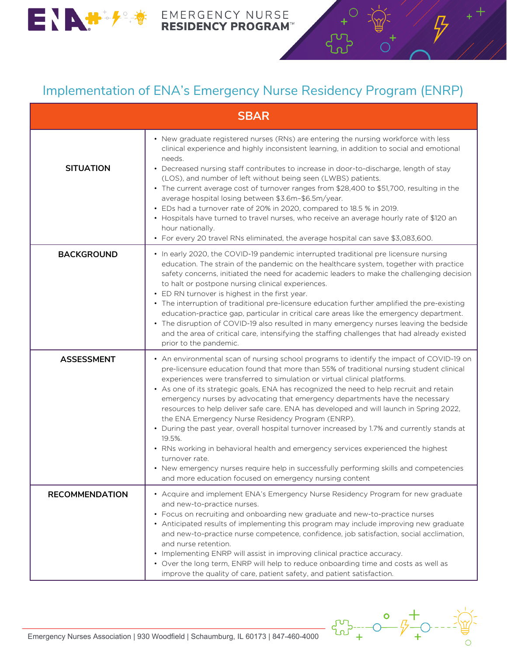

## EMERGENCY NURSE<br>RESIDENCY PROGRAM™

## Implementation of ENA's Emergency Nurse Residency Program (ENRP)

| <b>SBAR</b>           |                                                                                                                                                                                                                                                                                                                                                                                                                                                                                                                                                                                                                                                                                                                                                                                                                                                                                                                                                                  |
|-----------------------|------------------------------------------------------------------------------------------------------------------------------------------------------------------------------------------------------------------------------------------------------------------------------------------------------------------------------------------------------------------------------------------------------------------------------------------------------------------------------------------------------------------------------------------------------------------------------------------------------------------------------------------------------------------------------------------------------------------------------------------------------------------------------------------------------------------------------------------------------------------------------------------------------------------------------------------------------------------|
| <b>SITUATION</b>      | • New graduate registered nurses (RNs) are entering the nursing workforce with less<br>clinical experience and highly inconsistent learning, in addition to social and emotional<br>needs.<br>• Decreased nursing staff contributes to increase in door-to-discharge, length of stay<br>(LOS), and number of left without being seen (LWBS) patients.<br>• The current average cost of turnover ranges from \$28,400 to \$51,700, resulting in the<br>average hospital losing between \$3.6m-\$6.5m/year.<br>• EDs had a turnover rate of 20% in 2020, compared to 18.5 % in 2019.<br>• Hospitals have turned to travel nurses, who receive an average hourly rate of \$120 an<br>hour nationally.<br>• For every 20 travel RNs eliminated, the average hospital can save \$3,083,600.                                                                                                                                                                           |
| <b>BACKGROUND</b>     | • In early 2020, the COVID-19 pandemic interrupted traditional pre licensure nursing<br>education. The strain of the pandemic on the healthcare system, together with practice<br>safety concerns, initiated the need for academic leaders to make the challenging decision<br>to halt or postpone nursing clinical experiences.<br>• ED RN turnover is highest in the first year.<br>• The interruption of traditional pre-licensure education further amplified the pre-existing<br>education-practice gap, particular in critical care areas like the emergency department.<br>• The disruption of COVID-19 also resulted in many emergency nurses leaving the bedside<br>and the area of critical care, intensifying the staffing challenges that had already existed<br>prior to the pandemic.                                                                                                                                                              |
| <b>ASSESSMENT</b>     | • An environmental scan of nursing school programs to identify the impact of COVID-19 on<br>pre-licensure education found that more than 55% of traditional nursing student clinical<br>experiences were transferred to simulation or virtual clinical platforms.<br>• As one of its strategic goals, ENA has recognized the need to help recruit and retain<br>emergency nurses by advocating that emergency departments have the necessary<br>resources to help deliver safe care. ENA has developed and will launch in Spring 2022,<br>the ENA Emergency Nurse Residency Program (ENRP).<br>• During the past year, overall hospital turnover increased by 1.7% and currently stands at<br>19.5%.<br>• RNs working in behavioral health and emergency services experienced the highest<br>turnover rate.<br>• New emergency nurses require help in successfully performing skills and competencies<br>and more education focused on emergency nursing content |
| <b>RECOMMENDATION</b> | • Acquire and implement ENA's Emergency Nurse Residency Program for new graduate<br>and new-to-practice nurses.<br>• Focus on recruiting and onboarding new graduate and new-to-practice nurses<br>• Anticipated results of implementing this program may include improving new graduate<br>and new-to-practice nurse competence, confidence, job satisfaction, social acclimation,<br>and nurse retention.<br>• Implementing ENRP will assist in improving clinical practice accuracy.<br>. Over the long term, ENRP will help to reduce onboarding time and costs as well as<br>improve the quality of care, patient safety, and patient satisfaction.                                                                                                                                                                                                                                                                                                         |